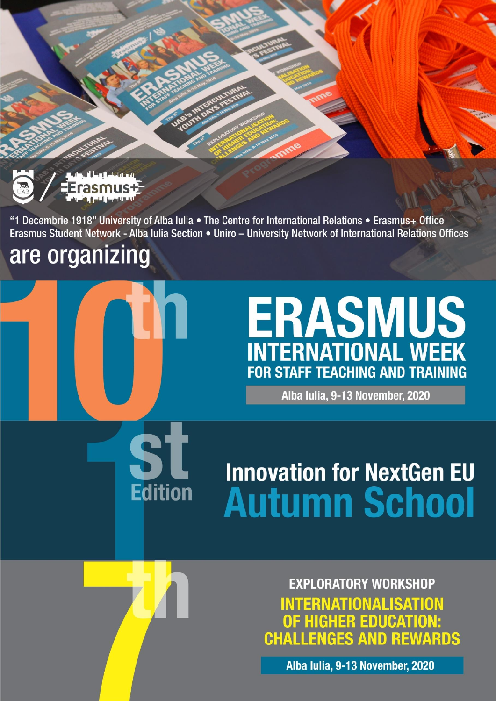

"1 Decembrie 1918" University of Alba Iulia • The Centre for International Relations • Erasmus+ Office Erasmus Student Network - Alba Iulia Section • Uniro - University Network of International Relations Offices

# are organizing



**Edition** 

# **ERASMUS**<br>INTERNATIONAL WEEK **FOR STAFF TEACHING AND TRAINING**

Alba Iulia, 9-13 November, 2020

# **Innovation for NextGen EU Autumn School**

**EXPLORATORY WORKSHOP INTERNATIONALISATION OF HIGHER EDUCATION:**<br>CHALLENGES AND REWARDS

Alba Iulia, 9-13 November, 2020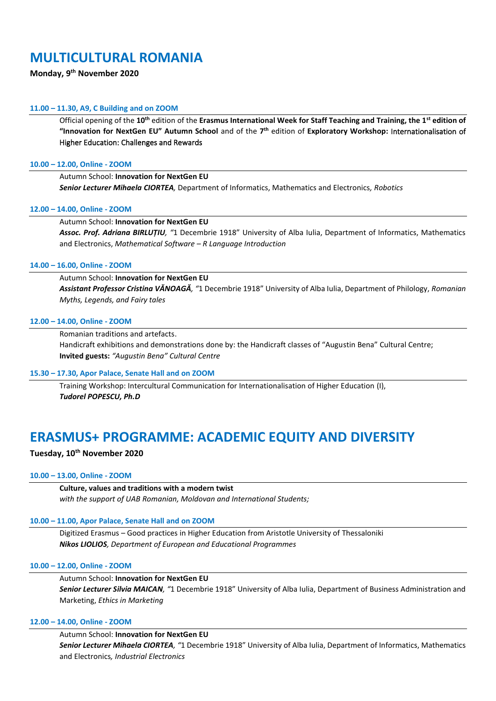# **MULTICULTURAL ROMANIA**

# **Monday, 9th November 2020**

# **11.00 – 11.30, A9, C Building and on ZOOM**

Official opening of the **10th** edition of the **Erasmus International Week for Staff Teaching and Training, the 1st edition of "Innovation for NextGen EU" Autumn School** and of the **7 th** edition of **Exploratory Workshop:** Internationalisation of Higher Education: Challenges and Rewards

# **10.00 – 12.00, Online - ZOOM**

# Autumn School: **Innovation for NextGen EU**

*Senior Lecturer Mihaela CIORTEA,* Department of Informatics, Mathematics and Electronics*, Robotics*

# **12.00 – 14.00, Online - ZOOM**

# Autumn School: **Innovation for NextGen EU**

*Assoc. Prof. Adriana BIRLUȚIU, "*1 Decembrie 1918" University of Alba Iulia, Department of Informatics, Mathematics and Electronics, *Mathematical Software – R Language Introduction*

# **14.00 – 16.00, Online - ZOOM**

# Autumn School: **Innovation for NextGen EU**

*Assistant Professor Cristina VĂNOAGĂ, "*1 Decembrie 1918" University of Alba Iulia, Department of Philology, *Romanian Myths, Legends, and Fairy tales*

# **12.00 – 14.00, Online - ZOOM**

# Romanian traditions and artefacts.

Handicraft exhibitions and demonstrations done by: the Handicraft classes of "Augustin Bena" Cultural Centre; **Invited guests:** *"Augustin Bena" Cultural Centre*

# **15.30 – 17.30, Apor Palace, Senate Hall and on ZOOM**

Training Workshop: Intercultural Communication for Internationalisation of Higher Education (I), *Tudorel POPESCU, Ph.D*

# **ERASMUS+ PROGRAMME: ACADEMIC EQUITY AND DIVERSITY**

# **Tuesday, 10th November 2020**

# **10.00 – 13.00, Online - ZOOM**

**Culture, values and traditions with a modern twist** *with the support of UAB Romanian, Moldovan and International Students;* 

# **10.00 – 11.00, Apor Palace, Senate Hall and on ZOOM**

Digitized Erasmus – Good practices in Higher Education from Aristotle University of Thessaloniki *Nikos LIOLIOS, Department of European and Educational Programmes*

# **10.00 – 12.00, Online - ZOOM**

# Autumn School: **Innovation for NextGen EU** *Senior Lecturer Silvia MAICAN, "*1 Decembrie 1918" University of Alba Iulia, Department of Business Administration and Marketing, *Ethics in Marketing*

# **12.00 – 14.00, Online - ZOOM**

Autumn School: **Innovation for NextGen EU** *Senior Lecturer Mihaela CIORTEA, "*1 Decembrie 1918" University of Alba Iulia, Department of Informatics, Mathematics and Electronics*, Industrial Electronics*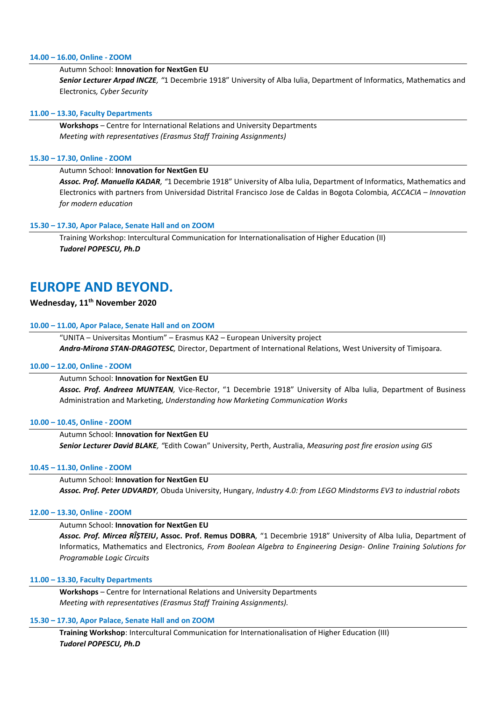# **14.00 – 16.00, Online - ZOOM**

# Autumn School: **Innovation for NextGen EU**

*Senior Lecturer Arpad INCZE, "*1 Decembrie 1918" University of Alba Iulia, Department of Informatics, Mathematics and Electronics*, Cyber Security*

# **11.00 – 13.30, Faculty Departments**

**Workshops** – Centre for International Relations and University Departments *Meeting with representatives (Erasmus Staff Training Assignments)*

# **15.30 – 17.30, Online - ZOOM**

# Autumn School: **Innovation for NextGen EU**

*Assoc. Prof. Manuella KADAR, "*1 Decembrie 1918" University of Alba Iulia, Department of Informatics, Mathematics and Electronics with partners from Universidad Distrital Francisco Jose de Caldas in Bogota Colombia*, ACCACIA – Innovation for modern education*

# **15.30 – 17.30, Apor Palace, Senate Hall and on ZOOM**

Training Workshop: Intercultural Communication for Internationalisation of Higher Education (II) *Tudorel POPESCU, Ph.D*

# **EUROPE AND BEYOND.**

# **Wednesday, 11th November 2020**

# **10.00 – 11.00, Apor Palace, Senate Hall and on ZOOM**

"UNITA – Universitas Montium" – Erasmus KA2 – European University project *Andra-Mirona STAN-DRAGOTESC,* Director, Department of International Relations, West University of Timișoara.

# **10.00 – 12.00, Online - ZOOM**

# Autumn School: **Innovation for NextGen EU**

*Assoc. Prof. Andreea MUNTEAN,* Vice-Rector, "1 Decembrie 1918" University of Alba Iulia, Department of Business Administration and Marketing, *Understanding how Marketing Communication Works*

# **10.00 – 10.45, Online - ZOOM**

Autumn School: **Innovation for NextGen EU** *Senior Lecturer David BLAKE, "*Edith Cowan" University, Perth, Australia, *Measuring post fire erosion using GIS*

# **10.45 – 11.30, Online - ZOOM**

Autumn School: **Innovation for NextGen EU** *Assoc. Prof. Peter UDVARDY,* Obuda University, Hungary, *Industry 4.0: from LEGO Mindstorms EV3 to industrial robots*

# **12.00 – 13.30, Online - ZOOM**

# Autumn School: **Innovation for NextGen EU**

*Assoc. Prof. Mircea RÎȘTEIU***, Assoc. Prof. Remus DOBRA***,* "1 Decembrie 1918" University of Alba Iulia, Department of Informatics, Mathematics and Electronics*, From Boolean Algebra to Engineering Design- Online Training Solutions for Programable Logic Circuits*

# **11.00 – 13.30, Faculty Departments**

**Workshops** – Centre for International Relations and University Departments *Meeting with representatives (Erasmus Staff Training Assignments).*

# **15.30 – 17.30, Apor Palace, Senate Hall and on ZOOM**

**Training Workshop**: Intercultural Communication for Internationalisation of Higher Education (III) *Tudorel POPESCU, Ph.D*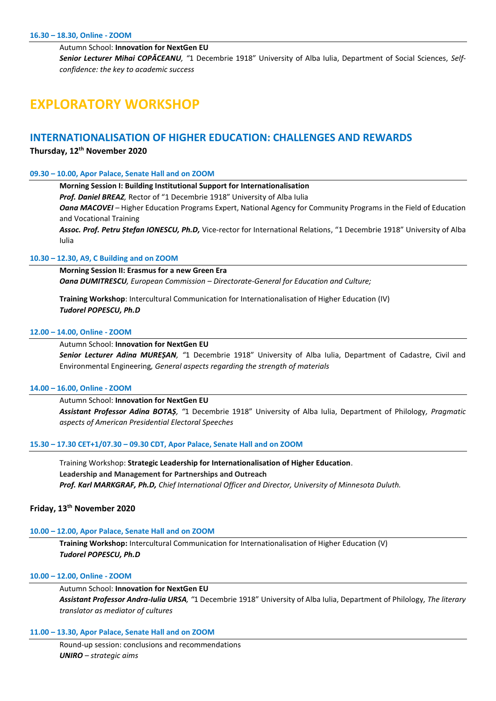Autumn School: **Innovation for NextGen EU**

*Senior Lecturer Mihai COPĂCEANU, "*1 Decembrie 1918" University of Alba Iulia, Department of Social Sciences, *Selfconfidence: the key to academic success*

# **EXPLORATORY WORKSHOP**

# **INTERNATIONALISATION OF HIGHER EDUCATION: CHALLENGES AND REWARDS**

# **Thursday, 12th November 2020**

# **09.30 – 10.00, Apor Palace, Senate Hall and on ZOOM**

**Morning Session I: Building Institutional Support for Internationalisation**

*Prof. Daniel BREAZ,* Rector of "1 Decembrie 1918" University of Alba Iulia

*Oana MACOVEI –* Higher Education Programs Expert, National Agency for Community Programs in the Field of Education and Vocational Training

*Assoc. Prof. Petru Ștefan IONESCU, Ph.D,* Vice-rector for International Relations, "1 Decembrie 1918" University of Alba Iulia

# **10.30 – 12.30, A9, C Building and on ZOOM**

**Morning Session II: Erasmus for a new Green Era** *Oana DUMITRESCU, European Commission – Directorate-General for Education and Culture;*

**Training Workshop**: Intercultural Communication for Internationalisation of Higher Education (IV) *Tudorel POPESCU, Ph.D*

# **12.00 – 14.00, Online - ZOOM**

# Autumn School: **Innovation for NextGen EU**

*Senior Lecturer Adina MUREȘAN, "*1 Decembrie 1918" University of Alba Iulia, Department of Cadastre, Civil and Environmental Engineering*, General aspects regarding the strength of materials*

# **14.00 – 16.00, Online - ZOOM**

Autumn School: **Innovation for NextGen EU** *Assistant Professor Adina BOTAȘ, "*1 Decembrie 1918" University of Alba Iulia, Department of Philology*, Pragmatic aspects of American Presidential Electoral Speeches*

# **15.30 – 17.30 CET+1/07.30 – 09.30 CDT, Apor Palace, Senate Hall and on ZOOM**

Training Workshop: **Strategic Leadership for Internationalisation of Higher Education**. **Leadership and Management for Partnerships and Outreach** *Prof. Karl MARKGRAF, Ph.D, Chief International Officer and Director, University of Minnesota Duluth.*

# **Friday, 13 th November 2020**

# **10.00 – 12.00, Apor Palace, Senate Hall and on ZOOM**

**Training Workshop:** Intercultural Communication for Internationalisation of Higher Education (V) *Tudorel POPESCU, Ph.D*

# **10.00 – 12.00, Online - ZOOM**

Autumn School: **Innovation for NextGen EU** *Assistant Professor Andra-Iulia URSA, "*1 Decembrie 1918" University of Alba Iulia, Department of Philology*, The literary translator as mediator of cultures*

# **11.00 – 13.30, Apor Palace, Senate Hall and on ZOOM**

Round-up session: conclusions and recommendations *UNIRO – strategic aims*